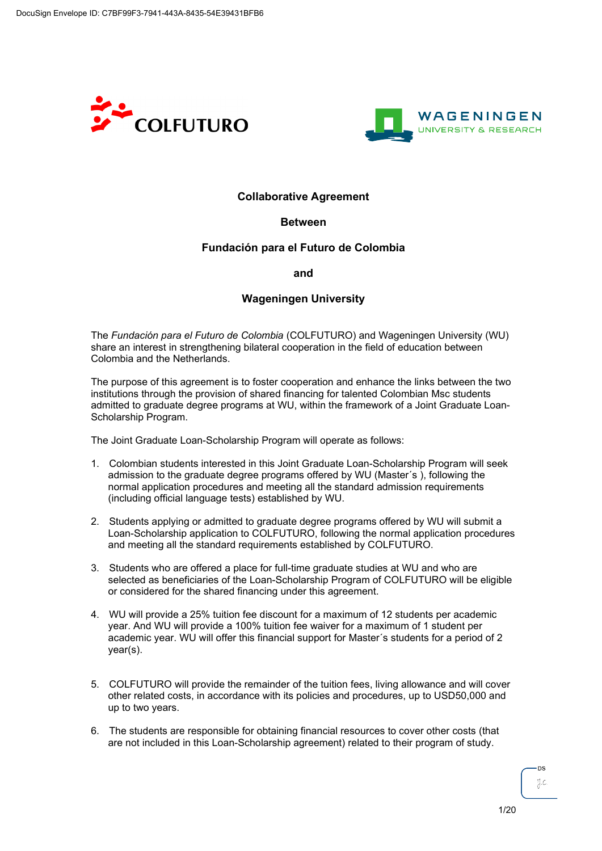



# **Collaborative Agreement**

# **Between**

## **Fundación para el Futuro de Colombia**

**and**

# **Wageningen University**

The *Fundación para el Futuro de Colombia* (COLFUTURO) and Wageningen University (WU) share an interest in strengthening bilateral cooperation in the field of education between Colombia and the Netherlands.

The purpose of this agreement is to foster cooperation and enhance the links between the two institutions through the provision of shared financing for talented Colombian Msc students admitted to graduate degree programs at WU, within the framework of a Joint Graduate Loan-Scholarship Program.

The Joint Graduate Loan-Scholarship Program will operate as follows:

- 1. Colombian students interested in this Joint Graduate Loan-Scholarship Program will seek admission to the graduate degree programs offered by WU (Master´s ), following the normal application procedures and meeting all the standard admission requirements (including official language tests) established by WU.
- 2. Students applying or admitted to graduate degree programs offered by WU will submit a Loan-Scholarship application to COLFUTURO, following the normal application procedures and meeting all the standard requirements established by COLFUTURO.
- 3. Students who are offered a place for full-time graduate studies at WU and who are selected as beneficiaries of the Loan-Scholarship Program of COLFUTURO will be eligible or considered for the shared financing under this agreement.
- 4. WU will provide a 25% tuition fee discount for a maximum of 12 students per academic year. And WU will provide a 100% tuition fee waiver for a maximum of 1 student per academic year. WU will offer this financial support for Master´s students for a period of 2 year(s).
- 5. COLFUTURO will provide the remainder of the tuition fees, living allowance and will cover other related costs, in accordance with its policies and procedures, up to USD50,000 and up to two years.
- 6. The students are responsible for obtaining financial resources to cover other costs (that are not included in this Loan-Scholarship agreement) related to their program of study.

ne  $7.c.$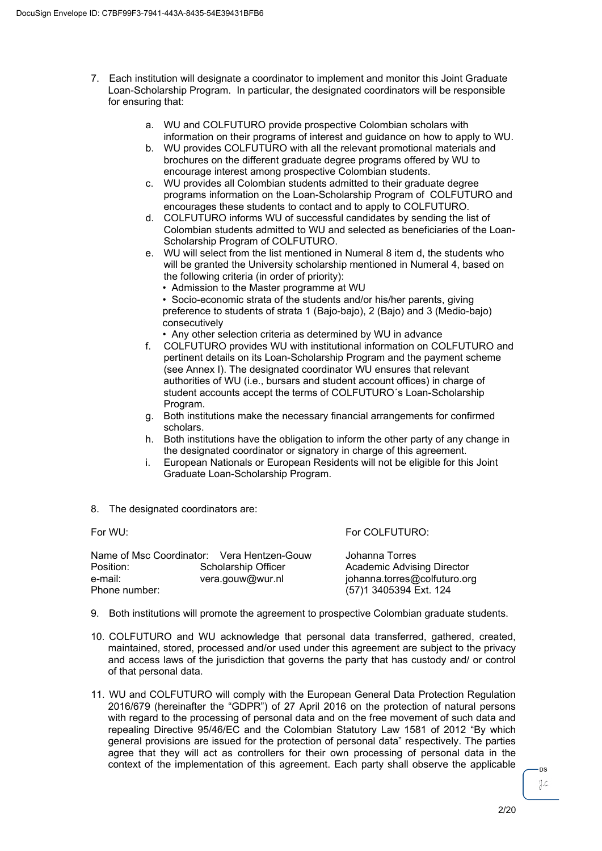- 7. Each institution will designate a coordinator to implement and monitor this Joint Graduate Loan-Scholarship Program. In particular, the designated coordinators will be responsible for ensuring that:
	- a. WU and COLFUTURO provide prospective Colombian scholars with information on their programs of interest and guidance on how to apply to WU.
	- b. WU provides COLFUTURO with all the relevant promotional materials and brochures on the different graduate degree programs offered by WU to encourage interest among prospective Colombian students.
	- c. WU provides all Colombian students admitted to their graduate degree programs information on the Loan-Scholarship Program of COLFUTURO and encourages these students to contact and to apply to COLFUTURO.
	- d. COLFUTURO informs WU of successful candidates by sending the list of Colombian students admitted to WU and selected as beneficiaries of the Loan-Scholarship Program of COLFUTURO.
	- e. WU will select from the list mentioned in Numeral 8 item d, the students who will be granted the University scholarship mentioned in Numeral 4, based on the following criteria (in order of priority):
		- Admission to the Master programme at WU

• Socio-economic strata of the students and/or his/her parents, giving preference to students of strata 1 (Bajo-bajo), 2 (Bajo) and 3 (Medio-bajo) consecutively

- Any other selection criteria as determined by WU in advance
- f. COLFUTURO provides WU with institutional information on COLFUTURO and pertinent details on its Loan-Scholarship Program and the payment scheme (see Annex I). The designated coordinator WU ensures that relevant authorities of WU (i.e., bursars and student account offices) in charge of student accounts accept the terms of COLFUTURO´s Loan-Scholarship Program.
- g. Both institutions make the necessary financial arrangements for confirmed scholars.
- h. Both institutions have the obligation to inform the other party of any change in the designated coordinator or signatory in charge of this agreement.
- i. European Nationals or European Residents will not be eligible for this Joint Graduate Loan-Scholarship Program.
- 8. The designated coordinators are:

# For WU: For COLFUTURO:

|               | Name of Msc Coordinator: Vera Hentzen-Gouw | Johanna Torres               |
|---------------|--------------------------------------------|------------------------------|
| Position:     | Scholarship Officer                        | Academic Advising Director   |
| e-mail:       | vera.gouw@wur.nl                           | johanna.torres@colfuturo.org |
| Phone number: |                                            | (57)1 3405394 Ext. 124       |

- 9. Both institutions will promote the agreement to prospective Colombian graduate students.
- 10. COLFUTURO and WU acknowledge that personal data transferred, gathered, created, maintained, stored, processed and/or used under this agreement are subject to the privacy and access laws of the jurisdiction that governs the party that has custody and/ or control of that personal data.
- 11. WU and COLFUTURO will comply with the European General Data Protection Regulation 2016/679 (hereinafter the "GDPR") of 27 April 2016 on the protection of natural persons with regard to the processing of personal data and on the free movement of such data and repealing Directive 95/46/EC and the Colombian Statutory Law 1581 of 2012 "By which general provisions are issued for the protection of personal data" respectively. The parties agree that they will act as controllers for their own processing of personal data in the context of the implementation of this agreement. Each party shall observe the applicable

·ns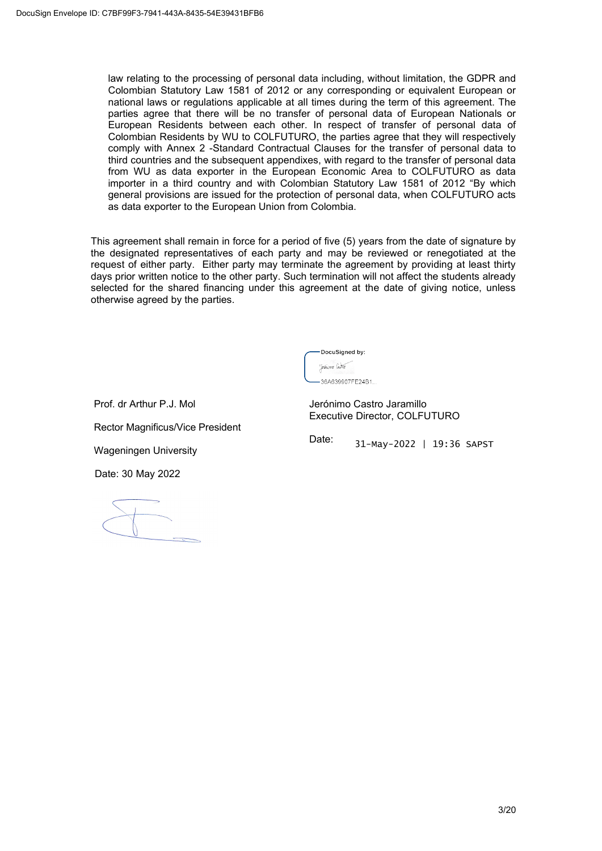law relating to the processing of personal data including, without limitation, the GDPR and Colombian Statutory Law 1581 of 2012 or any corresponding or equivalent European or national laws or regulations applicable at all times during the term of this agreement. The parties agree that there will be no transfer of personal data of European Nationals or European Residents between each other. In respect of transfer of personal data of Colombian Residents by WU to COLFUTURO, the parties agree that they will respectively comply with Annex 2 -Standard Contractual Clauses for the transfer of personal data to third countries and the subsequent appendixes, with regard to the transfer of personal data from WU as data exporter in the European Economic Area to COLFUTURO as data importer in a third country and with Colombian Statutory Law 1581 of 2012 "By which general provisions are issued for the protection of personal data, when COLFUTURO acts as data exporter to the European Union from Colombia.

This agreement shall remain in force for a period of five (5) years from the date of signature by the designated representatives of each party and may be reviewed or renegotiated at the request of either party. Either party may terminate the agreement by providing at least thirty days prior written notice to the other party. Such termination will not affect the students already selected for the shared financing under this agreement at the date of giving notice, unless otherwise agreed by the parties.

DocuSianed by: Termino Certa 36A639907FF24R1

Prof. dr Arthur P.J. Mol Rector Magnificus/Vice President Wageningen University Date: 30 May 2022

Date: 31-May-2022 | 19:36 SAPST

Jerónimo Castro Jaramillo Executive Director, COLFUTURO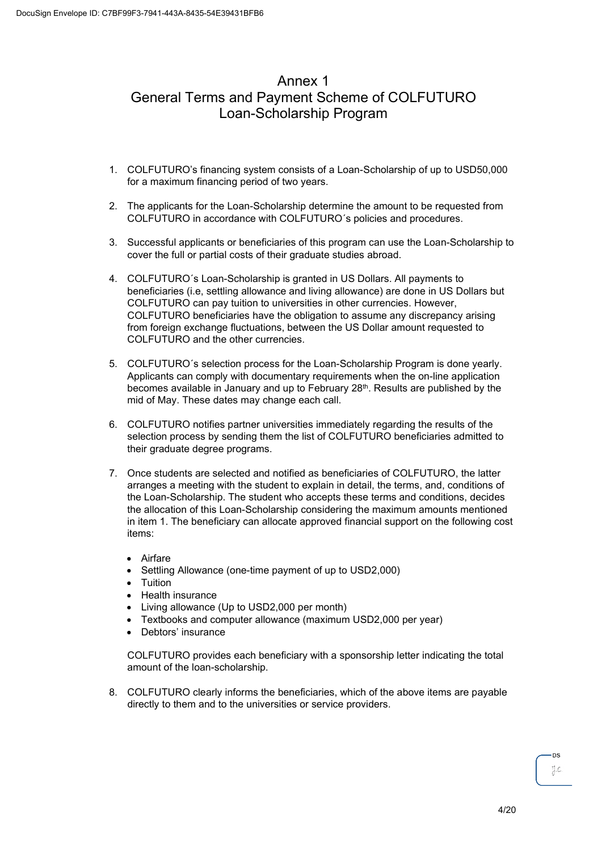# Annex 1 General Terms and Payment Scheme of COLFUTURO Loan-Scholarship Program

- 1. COLFUTURO's financing system consists of a Loan-Scholarship of up to USD50,000 for a maximum financing period of two years.
- 2. The applicants for the Loan-Scholarship determine the amount to be requested from COLFUTURO in accordance with COLFUTURO´s policies and procedures.
- 3. Successful applicants or beneficiaries of this program can use the Loan-Scholarship to cover the full or partial costs of their graduate studies abroad.
- 4. COLFUTURO´s Loan-Scholarship is granted in US Dollars. All payments to beneficiaries (i.e, settling allowance and living allowance) are done in US Dollars but COLFUTURO can pay tuition to universities in other currencies. However, COLFUTURO beneficiaries have the obligation to assume any discrepancy arising from foreign exchange fluctuations, between the US Dollar amount requested to COLFUTURO and the other currencies.
- 5. COLFUTURO´s selection process for the Loan-Scholarship Program is done yearly. Applicants can comply with documentary requirements when the on-line application becomes available in January and up to February 28th. Results are published by the mid of May. These dates may change each call.
- 6. COLFUTURO notifies partner universities immediately regarding the results of the selection process by sending them the list of COLFUTURO beneficiaries admitted to their graduate degree programs.
- 7. Once students are selected and notified as beneficiaries of COLFUTURO, the latter arranges a meeting with the student to explain in detail, the terms, and, conditions of the Loan-Scholarship. The student who accepts these terms and conditions, decides the allocation of this Loan-Scholarship considering the maximum amounts mentioned in item 1. The beneficiary can allocate approved financial support on the following cost items:
	- Airfare
	- Settling Allowance (one-time payment of up to USD2,000)
	- Tuition
	- Health insurance
	- Living allowance (Up to USD2,000 per month)
	- Textbooks and computer allowance (maximum USD2,000 per year)
	- Debtors' insurance

COLFUTURO provides each beneficiary with a sponsorship letter indicating the total amount of the loan-scholarship.

8. COLFUTURO clearly informs the beneficiaries, which of the above items are payable directly to them and to the universities or service providers.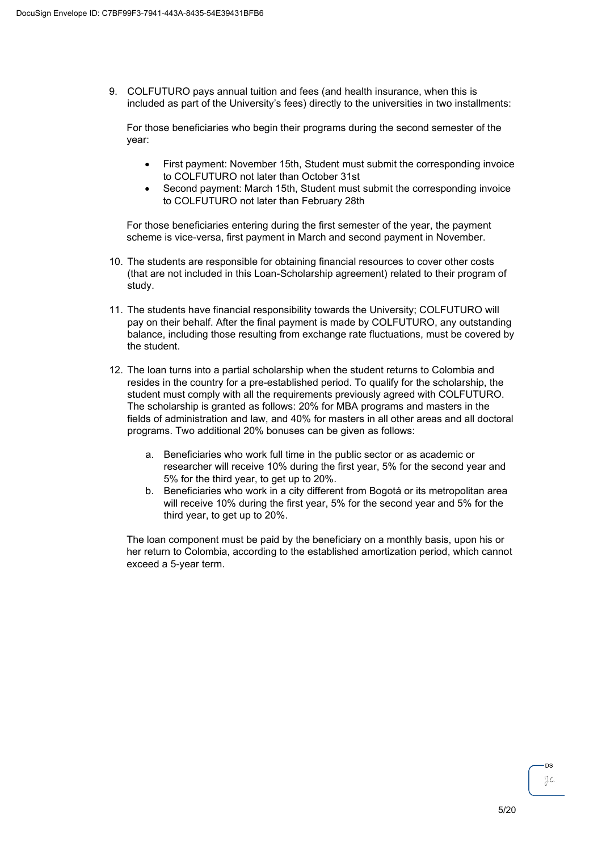9. COLFUTURO pays annual tuition and fees (and health insurance, when this is included as part of the University's fees) directly to the universities in two installments:

For those beneficiaries who begin their programs during the second semester of the year:

- First payment: November 15th, Student must submit the corresponding invoice to COLFUTURO not later than October 31st
- Second payment: March 15th, Student must submit the corresponding invoice to COLFUTURO not later than February 28th

For those beneficiaries entering during the first semester of the year, the payment scheme is vice-versa, first payment in March and second payment in November.

- 10. The students are responsible for obtaining financial resources to cover other costs (that are not included in this Loan-Scholarship agreement) related to their program of study.
- 11. The students have financial responsibility towards the University; COLFUTURO will pay on their behalf. After the final payment is made by COLFUTURO, any outstanding balance, including those resulting from exchange rate fluctuations, must be covered by the student.
- 12. The loan turns into a partial scholarship when the student returns to Colombia and resides in the country for a pre-established period. To qualify for the scholarship, the student must comply with all the requirements previously agreed with COLFUTURO. The scholarship is granted as follows: 20% for MBA programs and masters in the fields of administration and law, and 40% for masters in all other areas and all doctoral programs. Two additional 20% bonuses can be given as follows:
	- a. Beneficiaries who work full time in the public sector or as academic or researcher will receive 10% during the first year, 5% for the second year and 5% for the third year, to get up to 20%.
	- b. Beneficiaries who work in a city different from Bogotá or its metropolitan area will receive 10% during the first year, 5% for the second year and 5% for the third year, to get up to 20%.

The loan component must be paid by the beneficiary on a monthly basis, upon his or her return to Colombia, according to the established amortization period, which cannot exceed a 5-year term.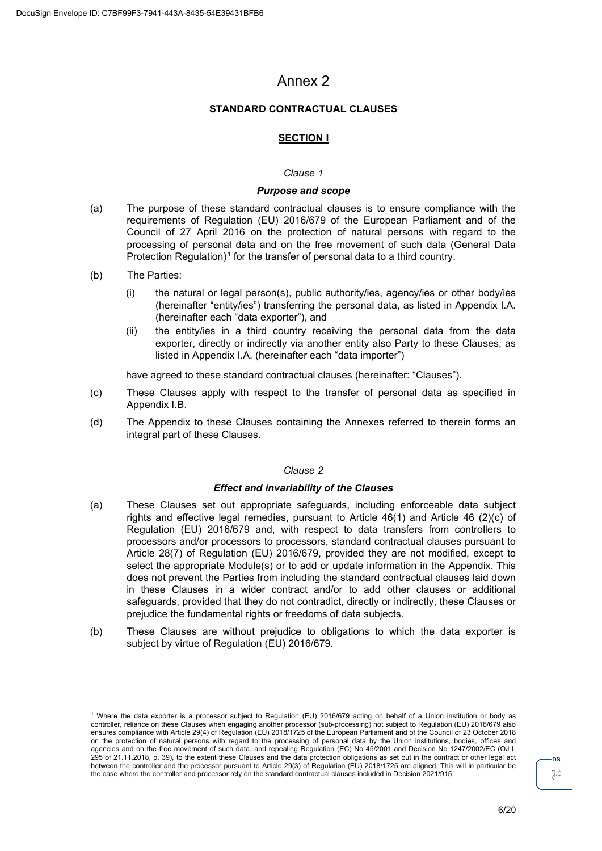# Annex 2

# **STANDARD CONTRACTUAL CLAUSES**

# **SECTION I**

# *Clause 1*

#### *Purpose and scope*

- (a) The purpose of these standard contractual clauses is to ensure compliance with the requirements of Regulation (EU) 2016/679 of the European Parliament and of the Council of 27 April 2016 on the protection of natural persons with regard to the processing of personal data and on the free movement of such data (General Data Protection Regulation)<sup>[1](#page-5-0)</sup> for the transfer of personal data to a third country.
- (b) The Parties:
	- (i) the natural or legal person(s), public authority/ies, agency/ies or other body/ies (hereinafter "entity/ies") transferring the personal data, as listed in Appendix I.A. (hereinafter each "data exporter"), and
	- (ii) the entity/ies in a third country receiving the personal data from the data exporter, directly or indirectly via another entity also Party to these Clauses, as listed in Appendix I.A. (hereinafter each "data importer")

have agreed to these standard contractual clauses (hereinafter: "Clauses").

- (c) These Clauses apply with respect to the transfer of personal data as specified in Appendix I.B.
- (d) The Appendix to these Clauses containing the Annexes referred to therein forms an integral part of these Clauses.

# *Clause 2*

#### *Effect and invariability of the Clauses*

- (a) These Clauses set out appropriate safeguards, including enforceable data subject rights and effective legal remedies, pursuant to Article  $46(1)$  and Article  $46(2)(c)$  of Regulation (EU) 2016/679 and, with respect to data transfers from controllers to processors and/or processors to processors, standard contractual clauses pursuant to Article 28(7) of Regulation (EU) 2016/679, provided they are not modified, except to select the appropriate Module(s) or to add or update information in the Appendix. This does not prevent the Parties from including the standard contractual clauses laid down in these Clauses in a wider contract and/or to add other clauses or additional safeguards, provided that they do not contradict, directly or indirectly, these Clauses or prejudice the fundamental rights or freedoms of data subjects.
- (b) These Clauses are without prejudice to obligations to which the data exporter is subject by virtue of Regulation (EU) 2016/679.

<span id="page-5-0"></span><sup>1</sup> Where the data exporter is a processor subject to Regulation (EU) 2016/679 acting on behalf of a Union institution or body as controller, reliance on these Clauses when engaging another processor (sub-processing) not subject to Regulation (EU) 2016/679 also ensures compliance with Article 29(4) of Regulation (EU) 2018/1725 of the European Parliament and of the Council of 23 October 2018 on the protection of natural persons with regard to the processing of personal data by the Union institutions, bodies, offices and agencies and on the free movement of such data, and repealing Regulation (EC) No 45/2001 and Decision No 1247/2002/EC (OJ L 295 of 21.11.2018, p. 39), to the extent these Clauses and the data protection obligations as set out in the contract or other legal act between the controller and the processor pursuant to Article 29(3) of Regulation (EU) 2018/1725 are aligned. This will in particular be the case where the controller and processor rely on the standard contractual clauses included in Decision 2021/915.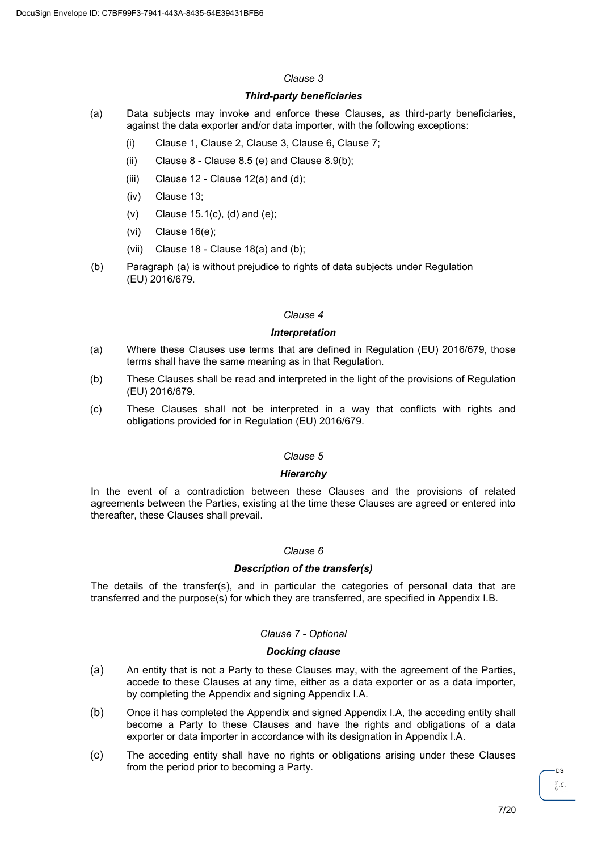#### *Clause 3*

# *Third-party beneficiaries*

- (a) Data subjects may invoke and enforce these Clauses, as third-party beneficiaries, against the data exporter and/or data importer, with the following exceptions:
	- (i) Clause 1, Clause 2, Clause 3, Clause 6, Clause 7;
	- (ii) Clause  $8 -$  Clause  $8.5$  (e) and Clause  $8.9(b)$ ;
	- $(iii)$  Clause 12 Clause 12(a) and  $(d)$ :
	- (iv) Clause 13;
	- (v) Clause 15.1(c), (d) and (e);
	- (vi) Clause 16(e);
	- (vii) Clause  $18 -$  Clause  $18(a)$  and  $(b)$ ;
- (b) Paragraph (a) is without prejudice to rights of data subjects under Regulation (EU) 2016/679.

#### *Clause 4*

#### *Interpretation*

- (a) Where these Clauses use terms that are defined in Regulation (EU) 2016/679, those terms shall have the same meaning as in that Regulation.
- (b) These Clauses shall be read and interpreted in the light of the provisions of Regulation (EU) 2016/679.
- (c) These Clauses shall not be interpreted in a way that conflicts with rights and obligations provided for in Regulation (EU) 2016/679.

#### *Clause 5*

#### *Hierarchy*

In the event of a contradiction between these Clauses and the provisions of related agreements between the Parties, existing at the time these Clauses are agreed or entered into thereafter, these Clauses shall prevail.

# *Clause 6*

#### *Description of the transfer(s)*

The details of the transfer(s), and in particular the categories of personal data that are transferred and the purpose(s) for which they are transferred, are specified in Appendix I.B.

# *Clause 7 - Optional*

#### *Docking clause*

- (a) An entity that is not a Party to these Clauses may, with the agreement of the Parties, accede to these Clauses at any time, either as a data exporter or as a data importer, by completing the Appendix and signing Appendix I.A.
- (b) Once it has completed the Appendix and signed Appendix I.A, the acceding entity shall become a Party to these Clauses and have the rights and obligations of a data exporter or data importer in accordance with its designation in Appendix I.A.
- (c) The acceding entity shall have no rights or obligations arising under these Clauses from the period prior to becoming a Party.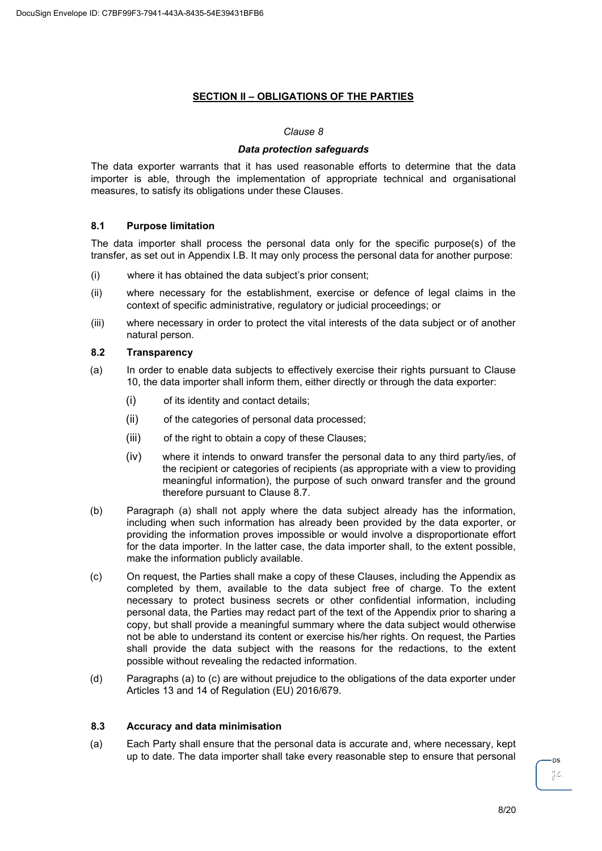#### **SECTION II – OBLIGATIONS OF THE PARTIES**

#### *Clause 8*

#### *Data protection safeguards*

The data exporter warrants that it has used reasonable efforts to determine that the data importer is able, through the implementation of appropriate technical and organisational measures, to satisfy its obligations under these Clauses.

#### **8.1 Purpose limitation**

The data importer shall process the personal data only for the specific purpose(s) of the transfer, as set out in Appendix I.B. It may only process the personal data for another purpose:

- (i) where it has obtained the data subject's prior consent;
- (ii) where necessary for the establishment, exercise or defence of legal claims in the context of specific administrative, regulatory or judicial proceedings; or
- (iii) where necessary in order to protect the vital interests of the data subject or of another natural person.

#### **8.2 Transparency**

- (a) In order to enable data subjects to effectively exercise their rights pursuant to Clause 10, the data importer shall inform them, either directly or through the data exporter:
	- (i) of its identity and contact details;
	- (ii) of the categories of personal data processed;
	- (iii) of the right to obtain a copy of these Clauses;
	- (iv) where it intends to onward transfer the personal data to any third party/ies, of the recipient or categories of recipients (as appropriate with a view to providing meaningful information), the purpose of such onward transfer and the ground therefore pursuant to Clause 8.7.
- (b) Paragraph (a) shall not apply where the data subject already has the information, including when such information has already been provided by the data exporter, or providing the information proves impossible or would involve a disproportionate effort for the data importer. In the latter case, the data importer shall, to the extent possible, make the information publicly available.
- (c) On request, the Parties shall make a copy of these Clauses, including the Appendix as completed by them, available to the data subject free of charge. To the extent necessary to protect business secrets or other confidential information, including personal data, the Parties may redact part of the text of the Appendix prior to sharing a copy, but shall provide a meaningful summary where the data subject would otherwise not be able to understand its content or exercise his/her rights. On request, the Parties shall provide the data subject with the reasons for the redactions, to the extent possible without revealing the redacted information.
- (d) Paragraphs (a) to (c) are without prejudice to the obligations of the data exporter under Articles 13 and 14 of Regulation (EU) 2016/679.

#### **8.3 Accuracy and data minimisation**

(a) Each Party shall ensure that the personal data is accurate and, where necessary, kept up to date. The data importer shall take every reasonable step to ensure that personal

**DS**  $7.c.$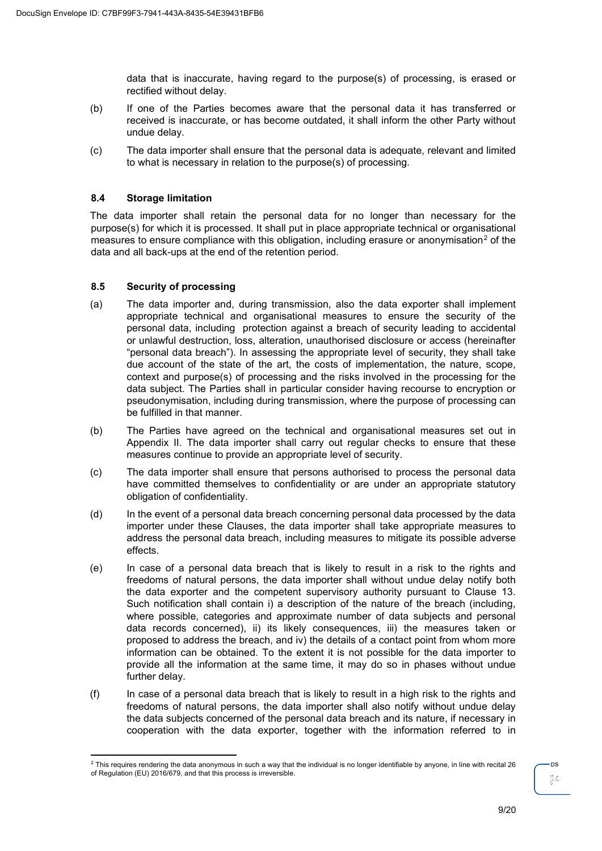data that is inaccurate, having regard to the purpose(s) of processing, is erased or rectified without delay.

- (b) If one of the Parties becomes aware that the personal data it has transferred or received is inaccurate, or has become outdated, it shall inform the other Party without undue delay.
- (c) The data importer shall ensure that the personal data is adequate, relevant and limited to what is necessary in relation to the purpose(s) of processing.

## **8.4 Storage limitation**

The data importer shall retain the personal data for no longer than necessary for the purpose(s) for which it is processed. It shall put in place appropriate technical or organisational measures to ensure compliance with this obligation, including erasure or anonymisation<sup>[2](#page-8-0)</sup> of the data and all back-ups at the end of the retention period.

## **8.5 Security of processing**

- (a) The data importer and, during transmission, also the data exporter shall implement appropriate technical and organisational measures to ensure the security of the personal data, including protection against a breach of security leading to accidental or unlawful destruction, loss, alteration, unauthorised disclosure or access (hereinafter "personal data breach"). In assessing the appropriate level of security, they shall take due account of the state of the art, the costs of implementation, the nature, scope, context and purpose(s) of processing and the risks involved in the processing for the data subject. The Parties shall in particular consider having recourse to encryption or pseudonymisation, including during transmission, where the purpose of processing can be fulfilled in that manner.
- (b) The Parties have agreed on the technical and organisational measures set out in Appendix II. The data importer shall carry out regular checks to ensure that these measures continue to provide an appropriate level of security.
- (c) The data importer shall ensure that persons authorised to process the personal data have committed themselves to confidentiality or are under an appropriate statutory obligation of confidentiality.
- (d) In the event of a personal data breach concerning personal data processed by the data importer under these Clauses, the data importer shall take appropriate measures to address the personal data breach, including measures to mitigate its possible adverse effects.
- (e) In case of a personal data breach that is likely to result in a risk to the rights and freedoms of natural persons, the data importer shall without undue delay notify both the data exporter and the competent supervisory authority pursuant to Clause 13. Such notification shall contain i) a description of the nature of the breach (including, where possible, categories and approximate number of data subjects and personal data records concerned), ii) its likely consequences, iii) the measures taken or proposed to address the breach, and iv) the details of a contact point from whom more information can be obtained. To the extent it is not possible for the data importer to provide all the information at the same time, it may do so in phases without undue further delay.
- (f) In case of a personal data breach that is likely to result in a high risk to the rights and freedoms of natural persons, the data importer shall also notify without undue delay the data subjects concerned of the personal data breach and its nature, if necessary in cooperation with the data exporter, together with the information referred to in

<span id="page-8-0"></span> $2$  This requires rendering the data anonymous in such a way that the individual is no longer identifiable by anyone, in line with recital 26 of Regulation (EU) 2016/679, and that this process is irreversible.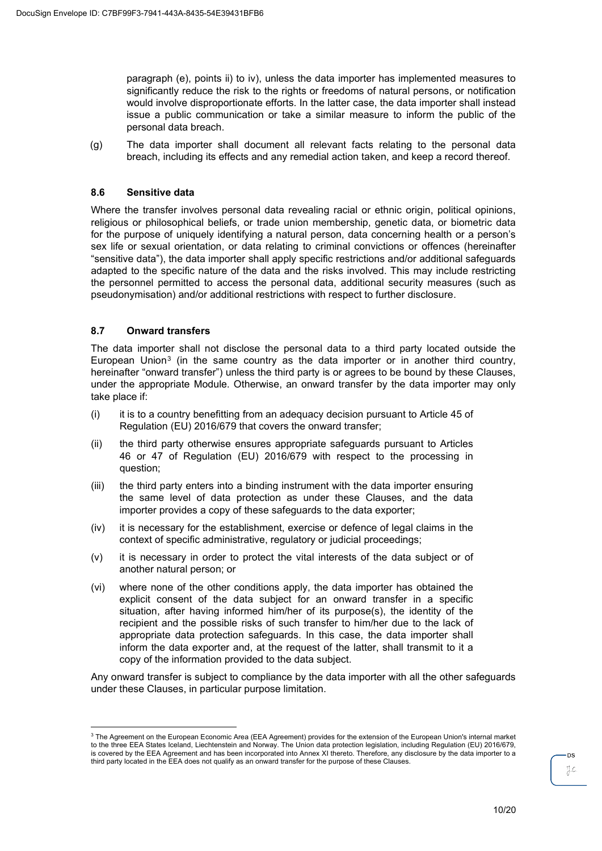paragraph (e), points ii) to iv), unless the data importer has implemented measures to significantly reduce the risk to the rights or freedoms of natural persons, or notification would involve disproportionate efforts. In the latter case, the data importer shall instead issue a public communication or take a similar measure to inform the public of the personal data breach.

(g) The data importer shall document all relevant facts relating to the personal data breach, including its effects and any remedial action taken, and keep a record thereof.

# **8.6 Sensitive data**

Where the transfer involves personal data revealing racial or ethnic origin, political opinions, religious or philosophical beliefs, or trade union membership, genetic data, or biometric data for the purpose of uniquely identifying a natural person, data concerning health or a person's sex life or sexual orientation, or data relating to criminal convictions or offences (hereinafter "sensitive data"), the data importer shall apply specific restrictions and/or additional safeguards adapted to the specific nature of the data and the risks involved. This may include restricting the personnel permitted to access the personal data, additional security measures (such as pseudonymisation) and/or additional restrictions with respect to further disclosure.

## **8.7 Onward transfers**

The data importer shall not disclose the personal data to a third party located outside the European Union<sup>[3](#page-9-0)</sup> (in the same country as the data importer or in another third country, hereinafter "onward transfer") unless the third party is or agrees to be bound by these Clauses, under the appropriate Module. Otherwise, an onward transfer by the data importer may only take place if:

- $(i)$  it is to a country benefitting from an adequacy decision pursuant to Article 45 of Regulation (EU) 2016/679 that covers the onward transfer;
- (ii) the third party otherwise ensures appropriate safeguards pursuant to Articles 46 or 47 of Regulation (EU) 2016/679 with respect to the processing in question;
- (iii) the third party enters into a binding instrument with the data importer ensuring the same level of data protection as under these Clauses, and the data importer provides a copy of these safeguards to the data exporter;
- (iv) it is necessary for the establishment, exercise or defence of legal claims in the context of specific administrative, regulatory or judicial proceedings;
- (v) it is necessary in order to protect the vital interests of the data subject or of another natural person; or
- (vi) where none of the other conditions apply, the data importer has obtained the explicit consent of the data subject for an onward transfer in a specific situation, after having informed him/her of its purpose(s), the identity of the recipient and the possible risks of such transfer to him/her due to the lack of appropriate data protection safeguards. In this case, the data importer shall inform the data exporter and, at the request of the latter, shall transmit to it a copy of the information provided to the data subject.

Any onward transfer is subject to compliance by the data importer with all the other safeguards under these Clauses, in particular purpose limitation.

<span id="page-9-0"></span><sup>3</sup> The Agreement on the European Economic Area (EEA Agreement) provides for the extension of the European Union's internal market to the three EEA States Iceland, Liechtenstein and Norway. The Union data protection legislation, including Regulation (EU) 2016/679, is covered by the EEA Agreement and has been incorporated into Annex XI thereto. Therefore, any disclosure by the data importer to a third party located in the EEA does not qualify as an onward transfer for the purpose of these Clauses.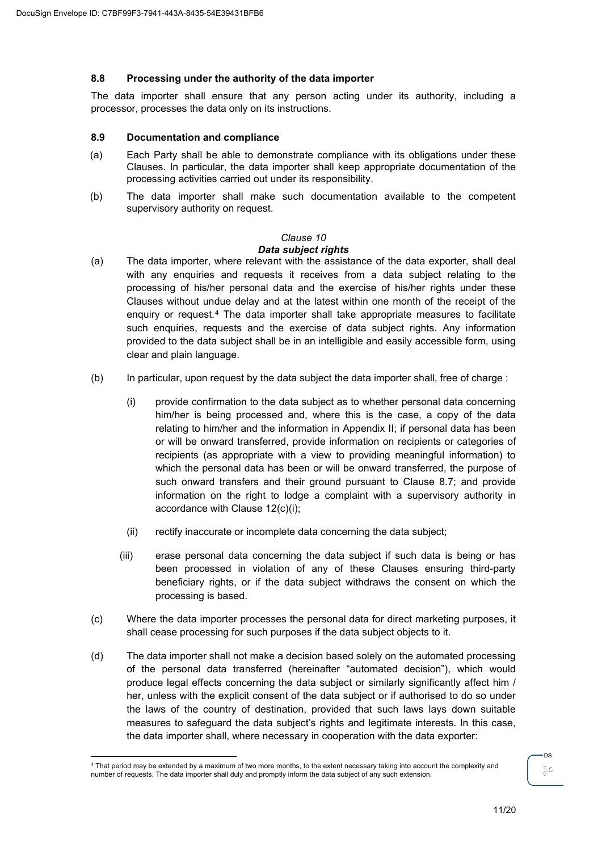# **8.8 Processing under the authority of the data importer**

The data importer shall ensure that any person acting under its authority, including a processor, processes the data only on its instructions.

# **8.9 Documentation and compliance**

- (a) Each Party shall be able to demonstrate compliance with its obligations under these Clauses. In particular, the data importer shall keep appropriate documentation of the processing activities carried out under its responsibility.
- (b) The data importer shall make such documentation available to the competent supervisory authority on request.

# *Clause 10*

## *Data subject rights*

- (a) The data importer, where relevant with the assistance of the data exporter, shall deal with any enquiries and requests it receives from a data subject relating to the processing of his/her personal data and the exercise of his/her rights under these Clauses without undue delay and at the latest within one month of the receipt of the enquiry or request.[4](#page-10-0) The data importer shall take appropriate measures to facilitate such enquiries, requests and the exercise of data subject rights. Any information provided to the data subject shall be in an intelligible and easily accessible form, using clear and plain language.
- (b) In particular, upon request by the data subject the data importer shall, free of charge :
	- (i) provide confirmation to the data subject as to whether personal data concerning him/her is being processed and, where this is the case, a copy of the data relating to him/her and the information in Appendix II; if personal data has been or will be onward transferred, provide information on recipients or categories of recipients (as appropriate with a view to providing meaningful information) to which the personal data has been or will be onward transferred, the purpose of such onward transfers and their ground pursuant to Clause 8.7; and provide information on the right to lodge a complaint with a supervisory authority in accordance with Clause 12(c)(i);
	- (ii) rectify inaccurate or incomplete data concerning the data subject;
	- (iii) erase personal data concerning the data subject if such data is being or has been processed in violation of any of these Clauses ensuring third-party beneficiary rights, or if the data subject withdraws the consent on which the processing is based.
- (c) Where the data importer processes the personal data for direct marketing purposes, it shall cease processing for such purposes if the data subject objects to it.
- (d) The data importer shall not make a decision based solely on the automated processing of the personal data transferred (hereinafter "automated decision"), which would produce legal effects concerning the data subject or similarly significantly affect him / her, unless with the explicit consent of the data subject or if authorised to do so under the laws of the country of destination, provided that such laws lays down suitable measures to safeguard the data subject's rights and legitimate interests. In this case, the data importer shall, where necessary in cooperation with the data exporter:

<span id="page-10-0"></span><sup>&</sup>lt;sup>4</sup> That period may be extended by a maximum of two more months, to the extent necessary taking into account the complexity and number of requests. The data importer shall duly and promptly inform the data subject of any such extension.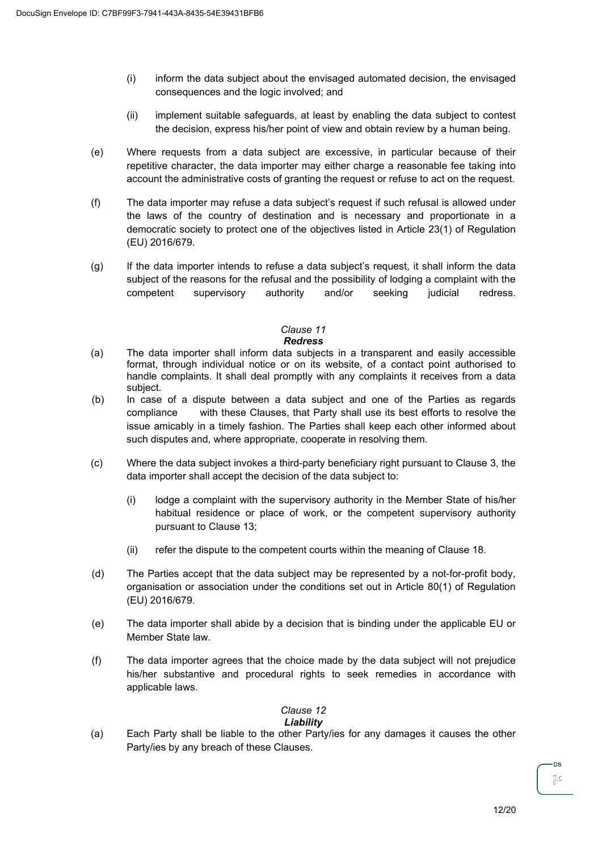- (i) inform the data subject about the envisaged automated decision, the envisaged consequences and the logic involved; and
- (ii) implement suitable safeguards, at least by enabling the data subject to contest the decision, express his/her point of view and obtain review by a human being.
- (e) Where requests from a data subject are excessive, in particular because of their repetitive character, the data importer may either charge a reasonable fee taking into account the administrative costs of granting the request or refuse to act on the request.
- (f) The data importer may refuse a data subject's request if such refusal is allowed under the laws of the country of destination and is necessary and proportionate in a democratic society to protect one of the objectives listed in Article 23(1) of Regulation (EU) 2016/679.
- (g) If the data importer intends to refuse a data subject's request, it shall inform the data subject of the reasons for the refusal and the possibility of lodging a complaint with the competent supervisory authority and/or seeking judicial redress.

#### *Clause 11 Redress*

- (a) The data importer shall inform data subjects in a transparent and easily accessible format, through individual notice or on its website, of a contact point authorised to handle complaints. It shall deal promptly with any complaints it receives from a data subject.
- (b) In case of a dispute between a data subject and one of the Parties as regards compliance with these Clauses, that Party shall use its best efforts to resolve the issue amicably in a timely fashion. The Parties shall keep each other informed about such disputes and, where appropriate, cooperate in resolving them.
- (c) Where the data subject invokes a third-party beneficiary right pursuant to Clause 3, the data importer shall accept the decision of the data subject to:
	- (i) lodge a complaint with the supervisory authority in the Member State of his/her habitual residence or place of work, or the competent supervisory authority pursuant to Clause 13;
	- (ii) refer the dispute to the competent courts within the meaning of Clause 18.
- (d) The Parties accept that the data subject may be represented by a not-for-profit body, organisation or association under the conditions set out in Article 80(1) of Regulation (EU) 2016/679.
- (e) The data importer shall abide by a decision that is binding under the applicable EU or Member State law.
- (f) The data importer agrees that the choice made by the data subject will not prejudice his/her substantive and procedural rights to seek remedies in accordance with applicable laws.

#### *Clause 12 Liability*

(a) Each Party shall be liable to the other Party/ies for any damages it causes the other Party/ies by any breach of these Clauses.

> **ns**  $7.c.$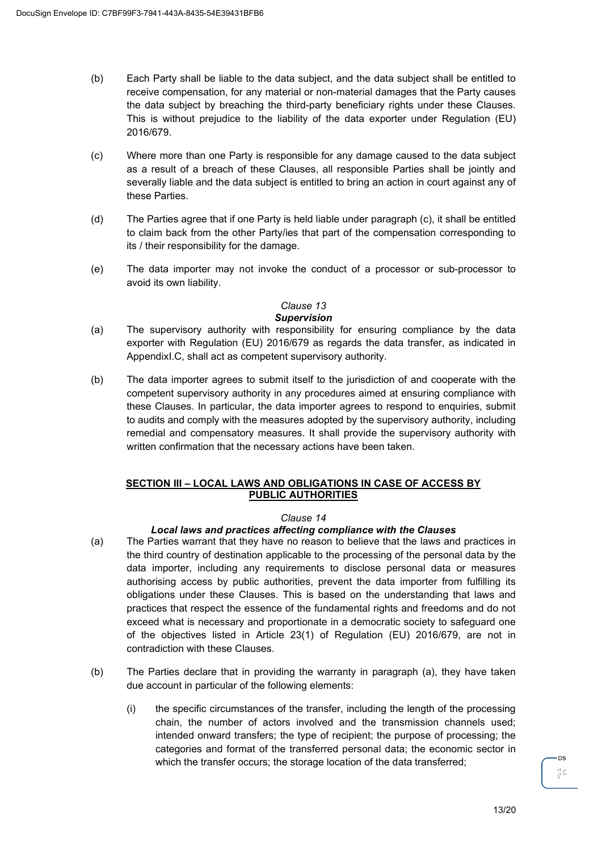- (b) Each Party shall be liable to the data subject, and the data subject shall be entitled to receive compensation, for any material or non-material damages that the Party causes the data subject by breaching the third-party beneficiary rights under these Clauses. This is without prejudice to the liability of the data exporter under Regulation (EU) 2016/679.
- (c) Where more than one Party is responsible for any damage caused to the data subject as a result of a breach of these Clauses, all responsible Parties shall be jointly and severally liable and the data subject is entitled to bring an action in court against any of these Parties.
- (d) The Parties agree that if one Party is held liable under paragraph (c), it shall be entitled to claim back from the other Party/ies that part of the compensation corresponding to its / their responsibility for the damage.
- (e) The data importer may not invoke the conduct of a processor or sub-processor to avoid its own liability.

#### *Clause 13 Supervision*

- (a) The supervisory authority with responsibility for ensuring compliance by the data exporter with Regulation (EU) 2016/679 as regards the data transfer, as indicated in AppendixI.C, shall act as competent supervisory authority.
- (b) The data importer agrees to submit itself to the jurisdiction of and cooperate with the competent supervisory authority in any procedures aimed at ensuring compliance with these Clauses. In particular, the data importer agrees to respond to enquiries, submit to audits and comply with the measures adopted by the supervisory authority, including remedial and compensatory measures. It shall provide the supervisory authority with written confirmation that the necessary actions have been taken.

# **SECTION III – LOCAL LAWS AND OBLIGATIONS IN CASE OF ACCESS BY PUBLIC AUTHORITIES**

# *Clause 14*

# *Local laws and practices affecting compliance with the Clauses*

- (a) The Parties warrant that they have no reason to believe that the laws and practices in the third country of destination applicable to the processing of the personal data by the data importer, including any requirements to disclose personal data or measures authorising access by public authorities, prevent the data importer from fulfilling its obligations under these Clauses. This is based on the understanding that laws and practices that respect the essence of the fundamental rights and freedoms and do not exceed what is necessary and proportionate in a democratic society to safeguard one of the objectives listed in Article 23(1) of Regulation (EU) 2016/679, are not in contradiction with these Clauses.
- (b) The Parties declare that in providing the warranty in paragraph (a), they have taken due account in particular of the following elements:
	- (i) the specific circumstances of the transfer, including the length of the processing chain, the number of actors involved and the transmission channels used; intended onward transfers; the type of recipient; the purpose of processing; the categories and format of the transferred personal data; the economic sector in which the transfer occurs; the storage location of the data transferred;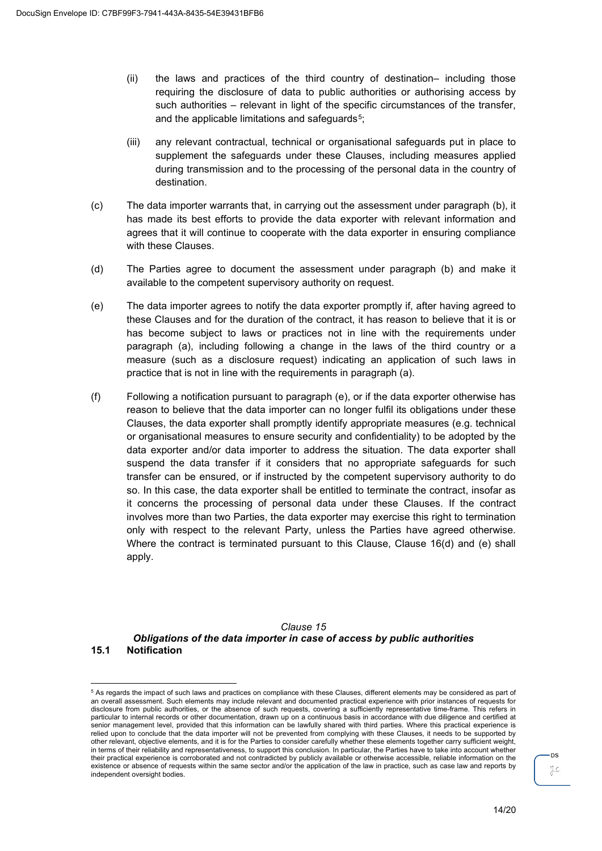- (ii) the laws and practices of the third country of destination– including those requiring the disclosure of data to public authorities or authorising access by such authorities – relevant in light of the specific circumstances of the transfer, and the applicable limitations and safeguards<sup>[5](#page-13-0)</sup>;
- (iii) any relevant contractual, technical or organisational safeguards put in place to supplement the safeguards under these Clauses, including measures applied during transmission and to the processing of the personal data in the country of destination.
- (c) The data importer warrants that, in carrying out the assessment under paragraph (b), it has made its best efforts to provide the data exporter with relevant information and agrees that it will continue to cooperate with the data exporter in ensuring compliance with these Clauses.
- (d) The Parties agree to document the assessment under paragraph (b) and make it available to the competent supervisory authority on request.
- (e) The data importer agrees to notify the data exporter promptly if, after having agreed to these Clauses and for the duration of the contract, it has reason to believe that it is or has become subject to laws or practices not in line with the requirements under paragraph (a), including following a change in the laws of the third country or a measure (such as a disclosure request) indicating an application of such laws in practice that is not in line with the requirements in paragraph (a).
- (f) Following a notification pursuant to paragraph (e), or if the data exporter otherwise has reason to believe that the data importer can no longer fulfil its obligations under these Clauses, the data exporter shall promptly identify appropriate measures (e.g. technical or organisational measures to ensure security and confidentiality) to be adopted by the data exporter and/or data importer to address the situation. The data exporter shall suspend the data transfer if it considers that no appropriate safeguards for such transfer can be ensured, or if instructed by the competent supervisory authority to do so. In this case, the data exporter shall be entitled to terminate the contract, insofar as it concerns the processing of personal data under these Clauses. If the contract involves more than two Parties, the data exporter may exercise this right to termination only with respect to the relevant Party, unless the Parties have agreed otherwise. Where the contract is terminated pursuant to this Clause, Clause 16(d) and (e) shall apply.

#### *Clause 15 Obligations of the data importer in case of access by public authorities* **15.1 Notification**

**DS**  $J.C.$ 

<span id="page-13-0"></span><sup>5</sup> As regards the impact of such laws and practices on compliance with these Clauses, different elements may be considered as part of an overall assessment. Such elements may include relevant and documented practical experience with prior instances of requests for disclosure from public authorities, or the absence of such requests, covering a sufficiently representative time-frame. This refers in particular to internal records or other documentation, drawn up on a continuous basis in accordance with due diligence and certified at senior management level, provided that this information can be lawfully shared with third parties. Where this practical experience is relied upon to conclude that the data importer will not be prevented from complying with these Clauses, it needs to be supported by other relevant, objective elements, and it is for the Parties to consider carefully whether these elements together carry sufficient weight, in terms of their reliability and representativeness, to support this conclusion. In particular, the Parties have to take into account whether their practical experience is corroborated and not contradicted by publicly available or otherwise accessible, reliable information on the existence or absence of requests within the same sector and/or the application of the law in practice, such as case law and reports by independent oversight bodies.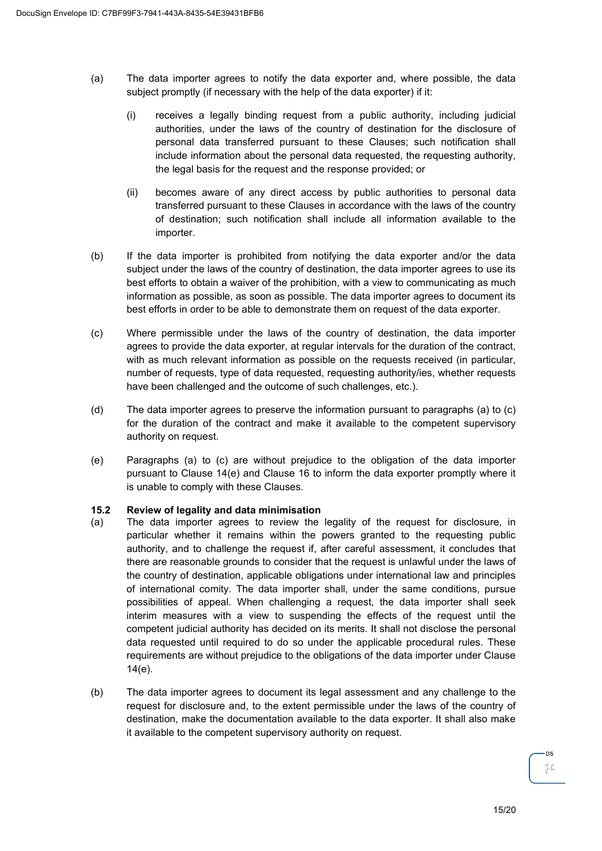- (a) The data importer agrees to notify the data exporter and, where possible, the data subject promptly (if necessary with the help of the data exporter) if it:
	- (i) receives a legally binding request from a public authority, including judicial authorities, under the laws of the country of destination for the disclosure of personal data transferred pursuant to these Clauses; such notification shall include information about the personal data requested, the requesting authority, the legal basis for the request and the response provided; or
	- (ii) becomes aware of any direct access by public authorities to personal data transferred pursuant to these Clauses in accordance with the laws of the country of destination; such notification shall include all information available to the importer.
- (b) If the data importer is prohibited from notifying the data exporter and/or the data subject under the laws of the country of destination, the data importer agrees to use its best efforts to obtain a waiver of the prohibition, with a view to communicating as much information as possible, as soon as possible. The data importer agrees to document its best efforts in order to be able to demonstrate them on request of the data exporter.
- (c) Where permissible under the laws of the country of destination, the data importer agrees to provide the data exporter, at regular intervals for the duration of the contract, with as much relevant information as possible on the requests received (in particular, number of requests, type of data requested, requesting authority/ies, whether requests have been challenged and the outcome of such challenges, etc.).
- (d) The data importer agrees to preserve the information pursuant to paragraphs (a) to (c) for the duration of the contract and make it available to the competent supervisory authority on request.
- (e) Paragraphs (a) to (c) are without prejudice to the obligation of the data importer pursuant to Clause 14(e) and Clause 16 to inform the data exporter promptly where it is unable to comply with these Clauses.

# **15.2 Review of legality and data minimisation**

- (a) The data importer agrees to review the legality of the request for disclosure, in particular whether it remains within the powers granted to the requesting public authority, and to challenge the request if, after careful assessment, it concludes that there are reasonable grounds to consider that the request is unlawful under the laws of the country of destination, applicable obligations under international law and principles of international comity. The data importer shall, under the same conditions, pursue possibilities of appeal. When challenging a request, the data importer shall seek interim measures with a view to suspending the effects of the request until the competent judicial authority has decided on its merits. It shall not disclose the personal data requested until required to do so under the applicable procedural rules. These requirements are without prejudice to the obligations of the data importer under Clause 14(e).
- (b) The data importer agrees to document its legal assessment and any challenge to the request for disclosure and, to the extent permissible under the laws of the country of destination, make the documentation available to the data exporter. It shall also make it available to the competent supervisory authority on request.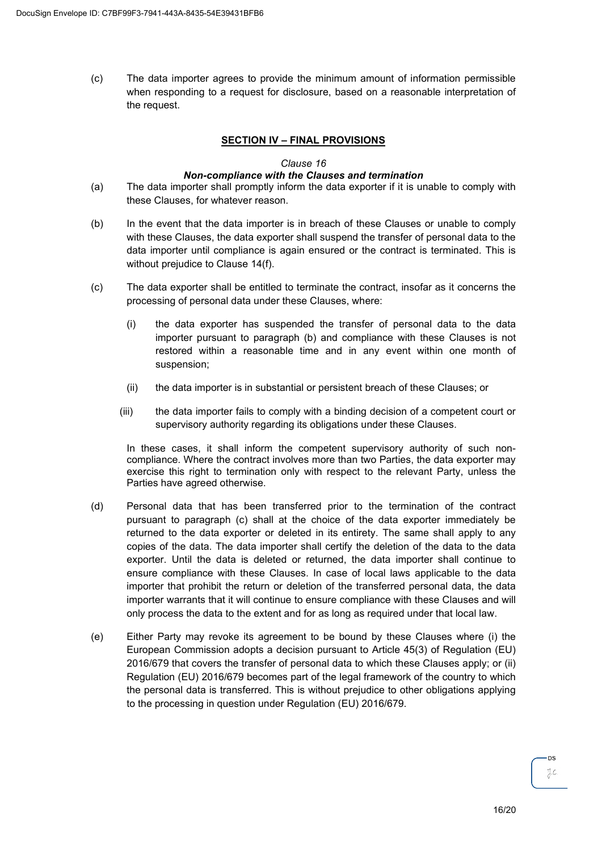(c) The data importer agrees to provide the minimum amount of information permissible when responding to a request for disclosure, based on a reasonable interpretation of the request.

## **SECTION IV – FINAL PROVISIONS**

# *Clause 16*

#### *Non-compliance with the Clauses and termination*

- (a) The data importer shall promptly inform the data exporter if it is unable to comply with these Clauses, for whatever reason.
- (b) In the event that the data importer is in breach of these Clauses or unable to comply with these Clauses, the data exporter shall suspend the transfer of personal data to the data importer until compliance is again ensured or the contract is terminated. This is without prejudice to Clause 14(f).
- (c) The data exporter shall be entitled to terminate the contract, insofar as it concerns the processing of personal data under these Clauses, where:
	- (i) the data exporter has suspended the transfer of personal data to the data importer pursuant to paragraph (b) and compliance with these Clauses is not restored within a reasonable time and in any event within one month of suspension;
	- (ii) the data importer is in substantial or persistent breach of these Clauses; or
	- (iii) the data importer fails to comply with a binding decision of a competent court or supervisory authority regarding its obligations under these Clauses.

In these cases, it shall inform the competent supervisory authority of such noncompliance. Where the contract involves more than two Parties, the data exporter may exercise this right to termination only with respect to the relevant Party, unless the Parties have agreed otherwise.

- (d) Personal data that has been transferred prior to the termination of the contract pursuant to paragraph (c) shall at the choice of the data exporter immediately be returned to the data exporter or deleted in its entirety. The same shall apply to any copies of the data. The data importer shall certify the deletion of the data to the data exporter. Until the data is deleted or returned, the data importer shall continue to ensure compliance with these Clauses. In case of local laws applicable to the data importer that prohibit the return or deletion of the transferred personal data, the data importer warrants that it will continue to ensure compliance with these Clauses and will only process the data to the extent and for as long as required under that local law.
- (e) Either Party may revoke its agreement to be bound by these Clauses where (i) the European Commission adopts a decision pursuant to Article 45(3) of Regulation (EU) 2016/679 that covers the transfer of personal data to which these Clauses apply; or (ii) Regulation (EU) 2016/679 becomes part of the legal framework of the country to which the personal data is transferred. This is without prejudice to other obligations applying to the processing in question under Regulation (EU) 2016/679.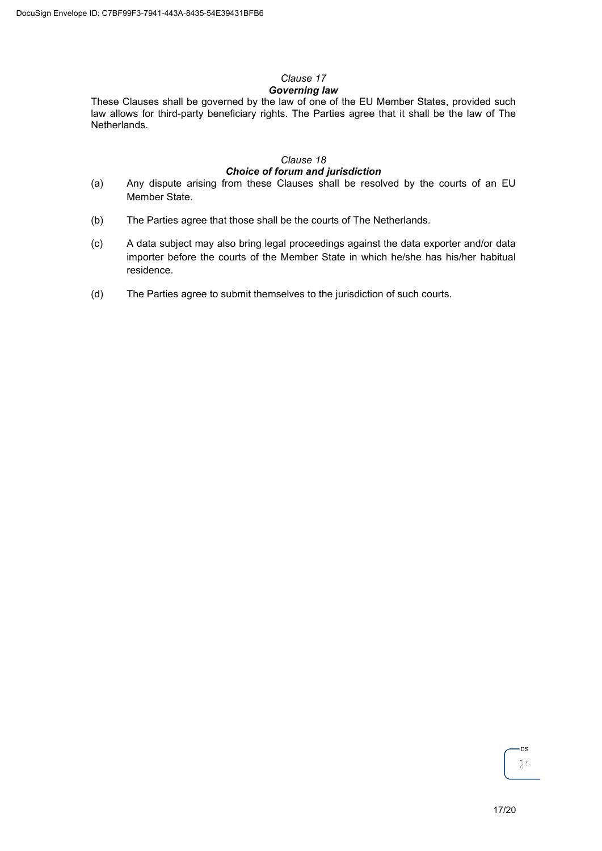#### *Clause 17 Governing law*

These Clauses shall be governed by the law of one of the EU Member States, provided such law allows for third-party beneficiary rights. The Parties agree that it shall be the law of The Netherlands.

# *Clause 18 Choice of forum and jurisdiction*

- (a) Any dispute arising from these Clauses shall be resolved by the courts of an EU Member State.
- (b) The Parties agree that those shall be the courts of The Netherlands.
- (c) A data subject may also bring legal proceedings against the data exporter and/or data importer before the courts of the Member State in which he/she has his/her habitual residence.
- (d) The Parties agree to submit themselves to the jurisdiction of such courts.

# ·DS  $7.C.$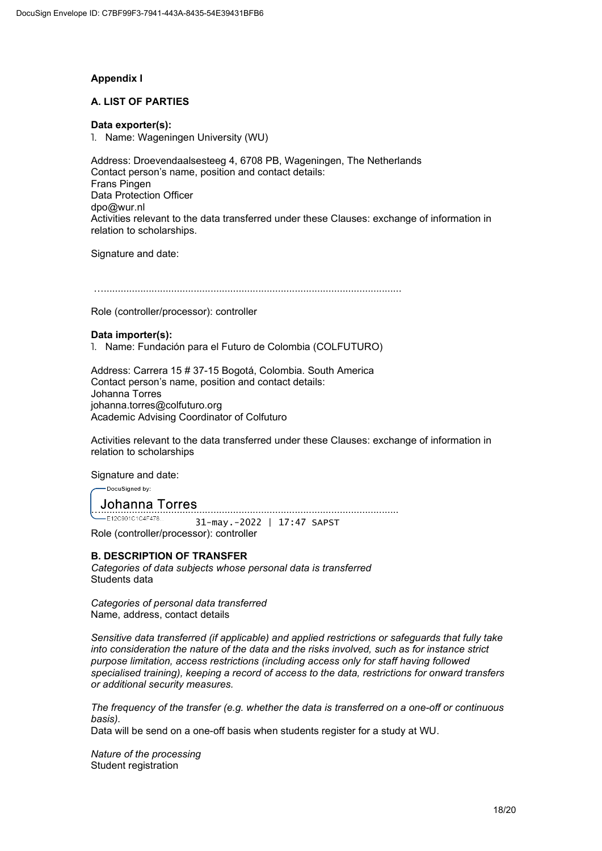# **Appendix I**

#### **A. LIST OF PARTIES**

#### **Data exporter(s):**

1. Name: Wageningen University (WU)

Address: Droevendaalsesteeg 4, 6708 PB, Wageningen, The Netherlands Contact person's name, position and contact details: Frans Pingen Data Protection Officer dpo@wur.nl Activities relevant to the data transferred under these Clauses: exchange of information in relation to scholarships.

Signature and date:

…..........................................................................................................

Role (controller/processor): controller

## **Data importer(s):**

1. Name: Fundación para el Futuro de Colombia (COLFUTURO)

Address: Carrera 15 # 37-15 Bogotá, Colombia. South America Contact person's name, position and contact details: Johanna Torres johanna.torres@colfuturo.org Academic Advising Coordinator of Colfuturo

Activities relevant to the data transferred under these Clauses: exchange of information in relation to scholarships

Signature and date:

DocuSigned by:

….......................................................................................................... 31-may.-2022 | 17:47 SAPST

Role (controller/processor): controller

# **B. DESCRIPTION OF TRANSFER**

*Categories of data subjects whose personal data is transferred*  Students data

*Categories of personal data transferred*  Name, address, contact details

*Sensitive data transferred (if applicable) and applied restrictions or safeguards that fully take into consideration the nature of the data and the risks involved, such as for instance strict purpose limitation, access restrictions (including access only for staff having followed specialised training), keeping a record of access to the data, restrictions for onward transfers or additional security measures.* 

*The frequency of the transfer (e.g. whether the data is transferred on a one-off or continuous basis).* 

Data will be send on a one-off basis when students register for a study at WU.

*Nature of the processing*  Student registration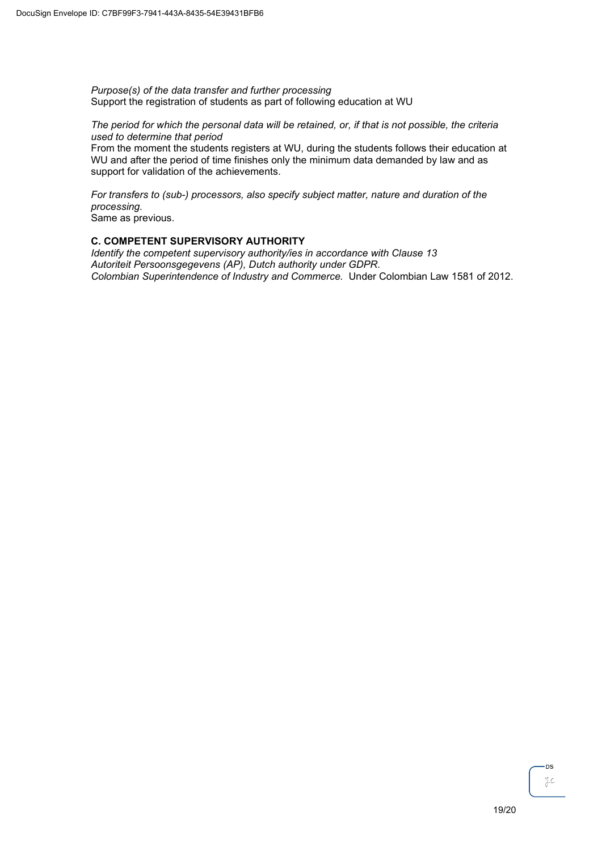*Purpose(s) of the data transfer and further processing*  Support the registration of students as part of following education at WU

*The period for which the personal data will be retained, or, if that is not possible, the criteria used to determine that period* 

From the moment the students registers at WU, during the students follows their education at WU and after the period of time finishes only the minimum data demanded by law and as support for validation of the achievements.

*For transfers to (sub-) processors, also specify subject matter, nature and duration of the processing.*

Same as previous.

# **C. COMPETENT SUPERVISORY AUTHORITY**

*Identify the competent supervisory authority/ies in accordance with Clause 13 Autoriteit Persoonsgegevens (AP), Dutch authority under GDPR. Colombian Superintendence of Industry and Commerce.* Under Colombian Law 1581 of 2012.

> DS  $7.c.$